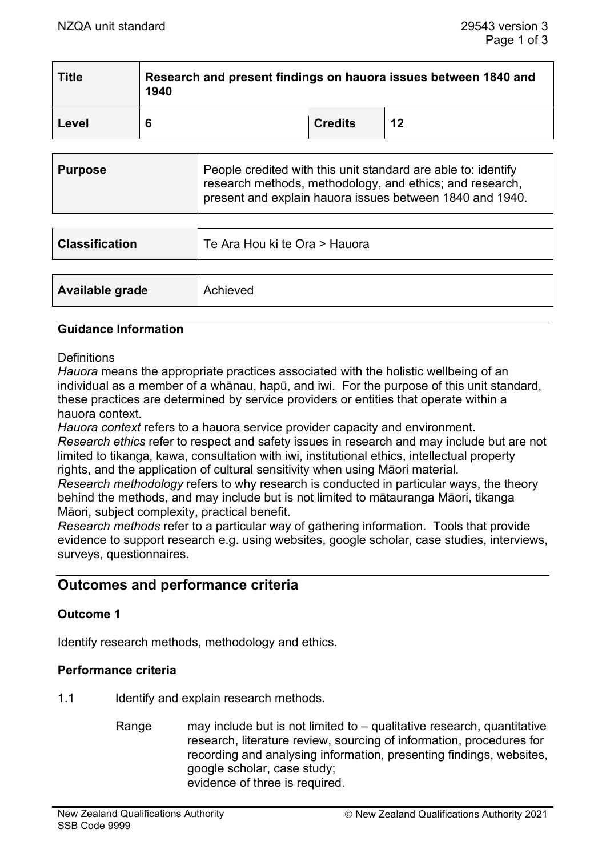| <b>Title</b> | Research and present findings on hauora issues between 1840 and<br>1940 |                |    |
|--------------|-------------------------------------------------------------------------|----------------|----|
| Level        | 6                                                                       | <b>Credits</b> | 12 |

| <b>Purpose</b> | People credited with this unit standard are able to: identify<br>research methods, methodology, and ethics; and research,<br>present and explain hauora issues between 1840 and 1940. |
|----------------|---------------------------------------------------------------------------------------------------------------------------------------------------------------------------------------|
|                |                                                                                                                                                                                       |

| <b>Classification</b> | Te Ara Hou ki te Ora > Hauora |
|-----------------------|-------------------------------|
|                       |                               |
| Available grade       | Achieved                      |

# **Guidance Information**

# **Definitions**

*Hauora* means the appropriate practices associated with the holistic wellbeing of an individual as a member of a whānau, hapū, and iwi. For the purpose of this unit standard, these practices are determined by service providers or entities that operate within a hauora context.

*Hauora context* refers to a hauora service provider capacity and environment. *Research ethics* refer to respect and safety issues in research and may include but are not limited to tikanga, kawa, consultation with iwi, institutional ethics, intellectual property rights, and the application of cultural sensitivity when using Māori material.

*Research methodology* refers to why research is conducted in particular ways, the theory behind the methods, and may include but is not limited to mātauranga Māori, tikanga Māori, subject complexity, practical benefit.

*Research methods* refer to a particular way of gathering information. Tools that provide evidence to support research e.g. using websites, google scholar, case studies, interviews, surveys, questionnaires.

# **Outcomes and performance criteria**

# **Outcome 1**

Identify research methods, methodology and ethics.

# **Performance criteria**

- 1.1 Identify and explain research methods.
	- Range may include but is not limited to  $-$  qualitative research, quantitative research, literature review, sourcing of information, procedures for recording and analysing information, presenting findings, websites, google scholar, case study; evidence of three is required.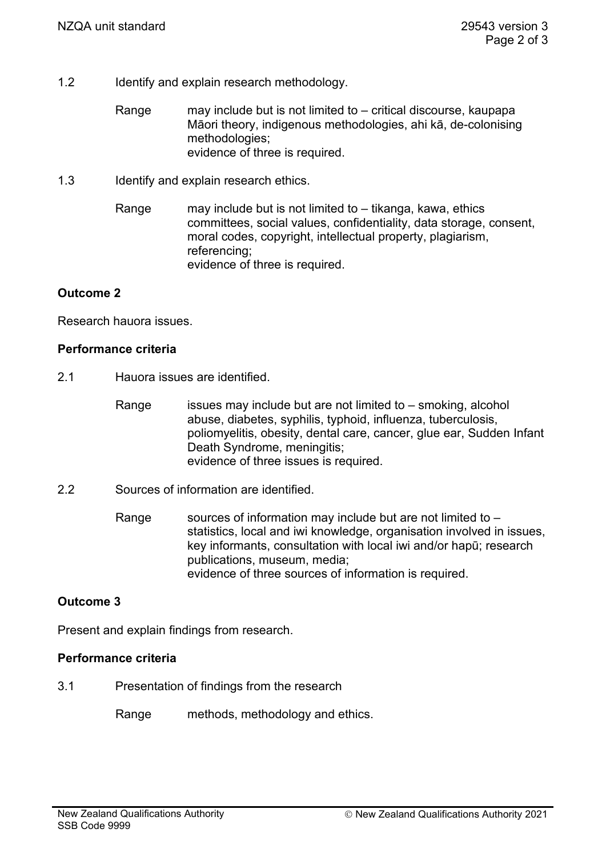- 1.2 Identify and explain research methodology.
	- Range may include but is not limited to critical discourse, kaupapa Māori theory, indigenous methodologies, ahi kā, de-colonising methodologies; evidence of three is required.
- 1.3 Identify and explain research ethics.
	- Range may include but is not limited to tikanga, kawa, ethics committees, social values, confidentiality, data storage, consent, moral codes, copyright, intellectual property, plagiarism, referencing; evidence of three is required.

#### **Outcome 2**

Research hauora issues.

#### **Performance criteria**

- 2.1 Hauora issues are identified.
	- Range issues may include but are not limited to  $-$  smoking, alcohol abuse, diabetes, syphilis, typhoid, influenza, tuberculosis, poliomyelitis, obesity, dental care, cancer, glue ear, Sudden Infant Death Syndrome, meningitis; evidence of three issues is required.
- 2.2 Sources of information are identified.
	- Range sources of information may include but are not limited to  $$ statistics, local and iwi knowledge, organisation involved in issues, key informants, consultation with local iwi and/or hapū; research publications, museum, media; evidence of three sources of information is required.

# **Outcome 3**

Present and explain findings from research.

#### **Performance criteria**

3.1 Presentation of findings from the research

Range methods, methodology and ethics.